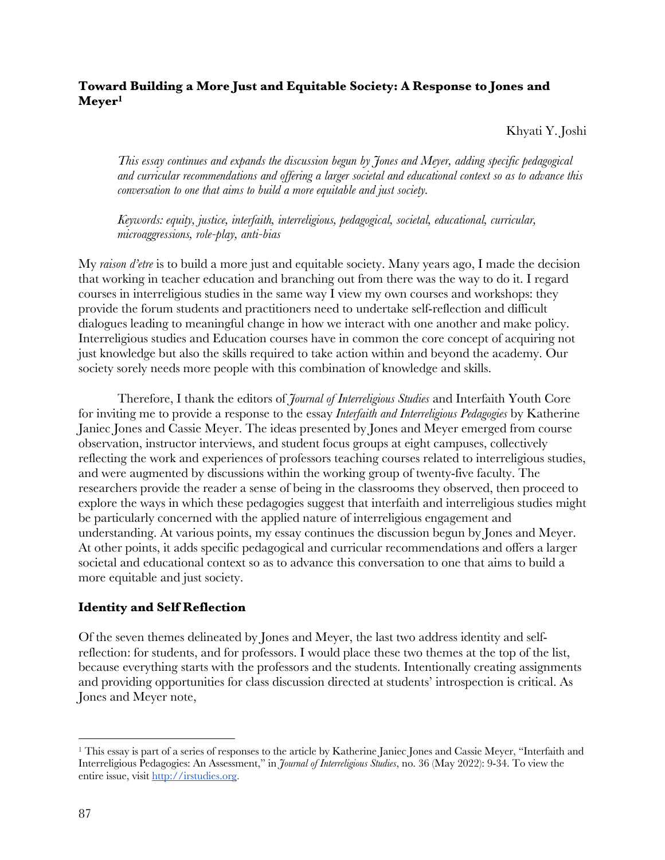## **Toward Building a More Just and Equitable Society: A Response to Jones and Meyer1**

Khyati Y. Joshi

*This essay continues and expands the discussion begun by Jones and Meyer, adding specific pedagogical and curricular recommendations and offering a larger societal and educational context so as to advance this conversation to one that aims to build a more equitable and just society.*

*Keywords: equity, justice, interfaith, interreligious, pedagogical, societal, educational, curricular, microaggressions, role-play, anti-bias*

My *raison d'etre* is to build a more just and equitable society. Many years ago, I made the decision that working in teacher education and branching out from there was the way to do it. I regard courses in interreligious studies in the same way I view my own courses and workshops: they provide the forum students and practitioners need to undertake self-reflection and difficult dialogues leading to meaningful change in how we interact with one another and make policy. Interreligious studies and Education courses have in common the core concept of acquiring not just knowledge but also the skills required to take action within and beyond the academy. Our society sorely needs more people with this combination of knowledge and skills.

Therefore, I thank the editors of *Journal of Interreligious Studies* and Interfaith Youth Core for inviting me to provide a response to the essay *Interfaith and Interreligious Pedagogies* by Katherine Janiec Jones and Cassie Meyer. The ideas presented by Jones and Meyer emerged from course observation, instructor interviews, and student focus groups at eight campuses, collectively reflecting the work and experiences of professors teaching courses related to interreligious studies, and were augmented by discussions within the working group of twenty-five faculty. The researchers provide the reader a sense of being in the classrooms they observed, then proceed to explore the ways in which these pedagogies suggest that interfaith and interreligious studies might be particularly concerned with the applied nature of interreligious engagement and understanding. At various points, my essay continues the discussion begun by Jones and Meyer. At other points, it adds specific pedagogical and curricular recommendations and offers a larger societal and educational context so as to advance this conversation to one that aims to build a more equitable and just society.

## **Identity and Self Reflection**

Of the seven themes delineated by Jones and Meyer, the last two address identity and selfreflection: for students, and for professors. I would place these two themes at the top of the list, because everything starts with the professors and the students. Intentionally creating assignments and providing opportunities for class discussion directed at students' introspection is critical. As Jones and Meyer note,

<sup>&</sup>lt;sup>1</sup> This essay is part of a series of responses to the article by Katherine Janiec Jones and Cassie Meyer, "Interfaith and Interreligious Pedagogies: An Assessment," in *Journal of Interreligious Studies*, no. 36 (May 2022): 9-34. To view the entire issue, visit http://irstudies.org.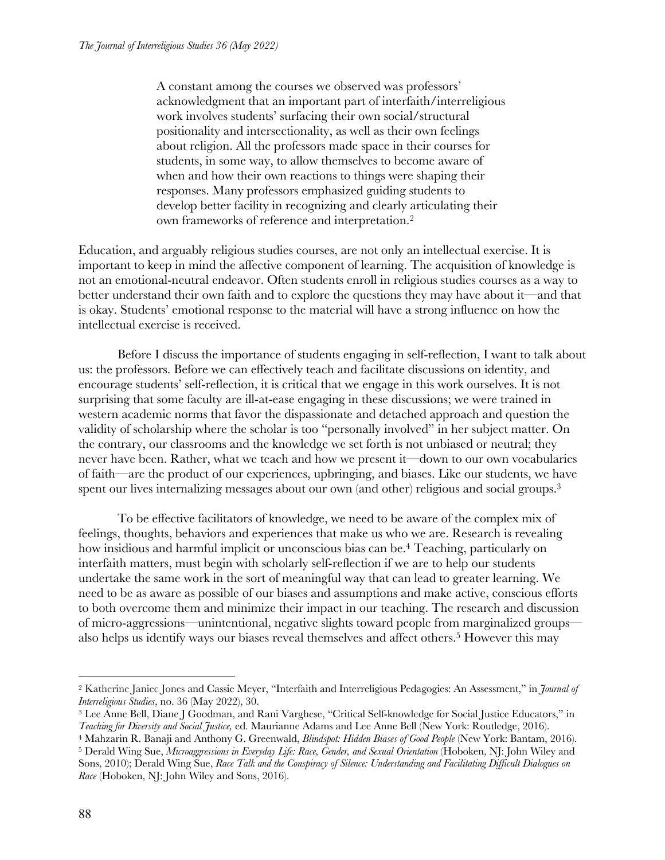A constant among the courses we observed was professors' acknowledgment that an important part of interfaith/interreligious work involves students' surfacing their own social/structural positionality and intersectionality, as well as their own feelings about religion. All the professors made space in their courses for students, in some way, to allow themselves to become aware of when and how their own reactions to things were shaping their responses. Many professors emphasized guiding students to develop better facility in recognizing and clearly articulating their own frameworks of reference and interpretation.2

Education, and arguably religious studies courses, are not only an intellectual exercise. It is important to keep in mind the affective component of learning. The acquisition of knowledge is not an emotional-neutral endeavor. Often students enroll in religious studies courses as a way to better understand their own faith and to explore the questions they may have about it—and that is okay. Students' emotional response to the material will have a strong influence on how the intellectual exercise is received.

Before I discuss the importance of students engaging in self-reflection, I want to talk about us: the professors. Before we can effectively teach and facilitate discussions on identity, and encourage students' self-reflection, it is critical that we engage in this work ourselves. It is not surprising that some faculty are ill-at-ease engaging in these discussions; we were trained in western academic norms that favor the dispassionate and detached approach and question the validity of scholarship where the scholar is too "personally involved" in her subject matter. On the contrary, our classrooms and the knowledge we set forth is not unbiased or neutral; they never have been. Rather, what we teach and how we present it—down to our own vocabularies of faith—are the product of our experiences, upbringing, and biases. Like our students, we have spent our lives internalizing messages about our own (and other) religious and social groups.<sup>3</sup>

To be effective facilitators of knowledge, we need to be aware of the complex mix of feelings, thoughts, behaviors and experiences that make us who we are. Research is revealing how insidious and harmful implicit or unconscious bias can be.<sup>4</sup> Teaching, particularly on interfaith matters, must begin with scholarly self-reflection if we are to help our students undertake the same work in the sort of meaningful way that can lead to greater learning. We need to be as aware as possible of our biases and assumptions and make active, conscious efforts to both overcome them and minimize their impact in our teaching. The research and discussion of micro-aggressions—unintentional, negative slights toward people from marginalized groups also helps us identify ways our biases reveal themselves and affect others.<sup>5</sup> However this may

<sup>2</sup> Katherine Janiec Jones and Cassie Meyer, "Interfaith and Interreligious Pedagogies: An Assessment," in *Journal of Interreligious Studies*, no. 36 (May 2022), 30.

<sup>3</sup> Lee Anne Bell, Diane J Goodman, and Rani Varghese, "Critical Self-knowledge for Social Justice Educators," in *Teaching for Diversity and Social Justice,* ed. Maurianne Adams and Lee Anne Bell (New York: Routledge, 2016).

<sup>4</sup> Mahzarin R. Banaji and Anthony G. Greenwald, *Blindspot: Hidden Biases of Good People* (New York: Bantam, 2016). <sup>5</sup> Derald Wing Sue, *Microaggressions in Everyday Life: Race, Gender, and Sexual Orientation* (Hoboken, NJ: John Wiley and

Sons, 2010); Derald Wing Sue, *Race Talk and the Conspiracy of Silence: Understanding and Facilitating Difficult Dialogues on Race* (Hoboken, NJ: John Wiley and Sons, 2016).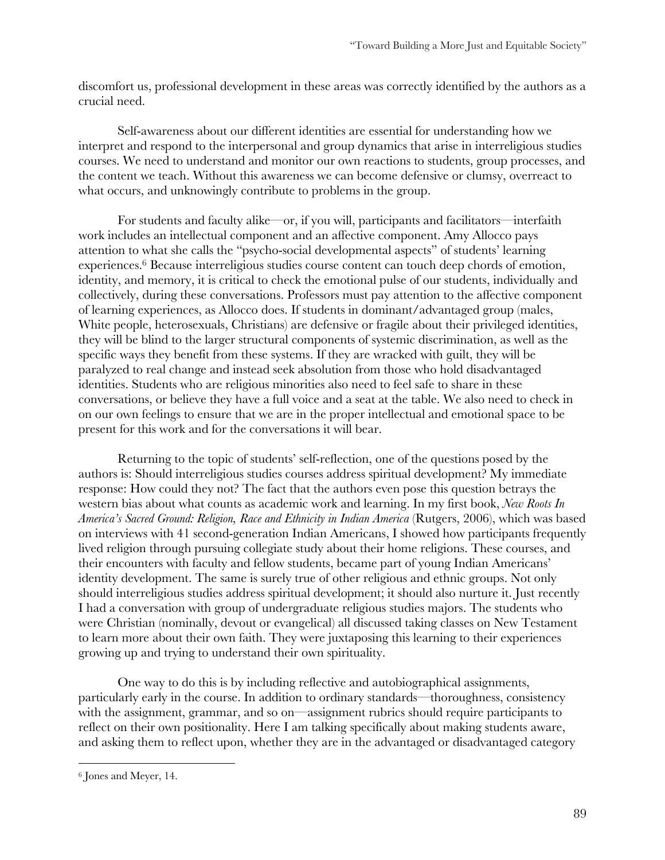discomfort us, professional development in these areas was correctly identified by the authors as a crucial need.

Self-awareness about our different identities are essential for understanding how we interpret and respond to the interpersonal and group dynamics that arise in interreligious studies courses. We need to understand and monitor our own reactions to students, group processes, and the content we teach. Without this awareness we can become defensive or clumsy, overreact to what occurs, and unknowingly contribute to problems in the group.

For students and faculty alike—or, if you will, participants and facilitators—interfaith work includes an intellectual component and an affective component. Amy Allocco pays attention to what she calls the "psycho-social developmental aspects" of students' learning experiences.6 Because interreligious studies course content can touch deep chords of emotion, identity, and memory, it is critical to check the emotional pulse of our students, individually and collectively, during these conversations. Professors must pay attention to the affective component of learning experiences, as Allocco does. If students in dominant/advantaged group (males, White people, heterosexuals, Christians) are defensive or fragile about their privileged identities, they will be blind to the larger structural components of systemic discrimination, as well as the specific ways they benefit from these systems. If they are wracked with guilt, they will be paralyzed to real change and instead seek absolution from those who hold disadvantaged identities. Students who are religious minorities also need to feel safe to share in these conversations, or believe they have a full voice and a seat at the table. We also need to check in on our own feelings to ensure that we are in the proper intellectual and emotional space to be present for this work and for the conversations it will bear.

Returning to the topic of students' self-reflection, one of the questions posed by the authors is: Should interreligious studies courses address spiritual development? My immediate response: How could they not? The fact that the authors even pose this question betrays the western bias about what counts as academic work and learning. In my first book, *New Roots In America's Sacred Ground: Religion, Race and Ethnicity in Indian America* (Rutgers, 2006), which was based on interviews with 41 second-generation Indian Americans, I showed how participants frequently lived religion through pursuing collegiate study about their home religions. These courses, and their encounters with faculty and fellow students, became part of young Indian Americans' identity development. The same is surely true of other religious and ethnic groups. Not only should interreligious studies address spiritual development; it should also nurture it. Just recently I had a conversation with group of undergraduate religious studies majors. The students who were Christian (nominally, devout or evangelical) all discussed taking classes on New Testament to learn more about their own faith. They were juxtaposing this learning to their experiences growing up and trying to understand their own spirituality.

One way to do this is by including reflective and autobiographical assignments, particularly early in the course. In addition to ordinary standards—thoroughness, consistency with the assignment, grammar, and so on—assignment rubrics should require participants to reflect on their own positionality. Here I am talking specifically about making students aware, and asking them to reflect upon, whether they are in the advantaged or disadvantaged category

<sup>6</sup> Jones and Meyer, 14.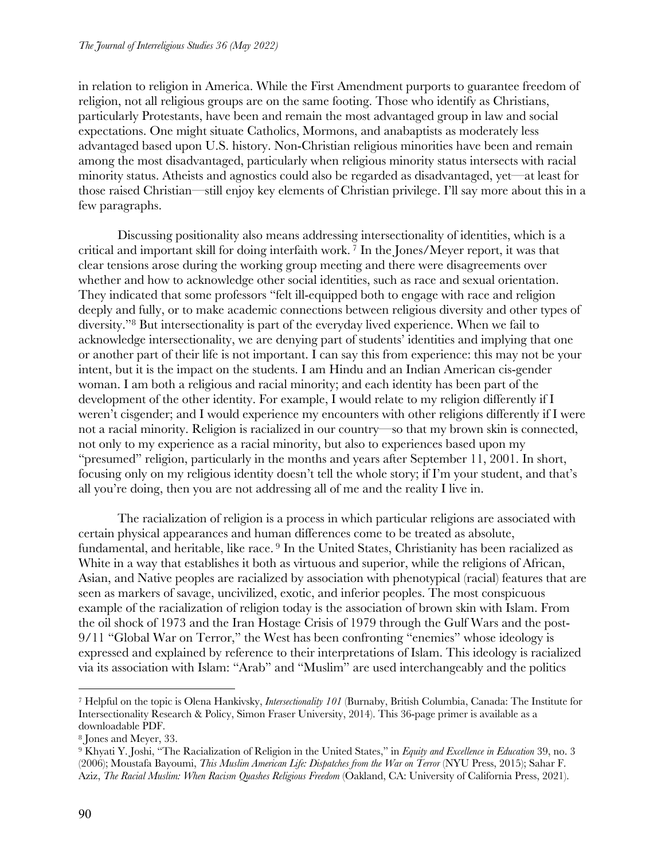in relation to religion in America. While the First Amendment purports to guarantee freedom of religion, not all religious groups are on the same footing. Those who identify as Christians, particularly Protestants, have been and remain the most advantaged group in law and social expectations. One might situate Catholics, Mormons, and anabaptists as moderately less advantaged based upon U.S. history. Non-Christian religious minorities have been and remain among the most disadvantaged, particularly when religious minority status intersects with racial minority status. Atheists and agnostics could also be regarded as disadvantaged, yet—at least for those raised Christian—still enjoy key elements of Christian privilege. I'll say more about this in a few paragraphs.

Discussing positionality also means addressing intersectionality of identities, which is a critical and important skill for doing interfaith work. <sup>7</sup> In the Jones/Meyer report, it was that clear tensions arose during the working group meeting and there were disagreements over whether and how to acknowledge other social identities, such as race and sexual orientation. They indicated that some professors "felt ill-equipped both to engage with race and religion deeply and fully, or to make academic connections between religious diversity and other types of diversity."8 But intersectionality is part of the everyday lived experience. When we fail to acknowledge intersectionality, we are denying part of students' identities and implying that one or another part of their life is not important. I can say this from experience: this may not be your intent, but it is the impact on the students. I am Hindu and an Indian American cis-gender woman. I am both a religious and racial minority; and each identity has been part of the development of the other identity. For example, I would relate to my religion differently if I weren't cisgender; and I would experience my encounters with other religions differently if I were not a racial minority. Religion is racialized in our country—so that my brown skin is connected, not only to my experience as a racial minority, but also to experiences based upon my "presumed" religion, particularly in the months and years after September 11, 2001. In short, focusing only on my religious identity doesn't tell the whole story; if I'm your student, and that's all you're doing, then you are not addressing all of me and the reality I live in.

The racialization of religion is a process in which particular religions are associated with certain physical appearances and human differences come to be treated as absolute, fundamental, and heritable, like race.<sup>9</sup> In the United States, Christianity has been racialized as White in a way that establishes it both as virtuous and superior, while the religions of African, Asian, and Native peoples are racialized by association with phenotypical (racial) features that are seen as markers of savage, uncivilized, exotic, and inferior peoples. The most conspicuous example of the racialization of religion today is the association of brown skin with Islam. From the oil shock of 1973 and the Iran Hostage Crisis of 1979 through the Gulf Wars and the post-9/11 "Global War on Terror," the West has been confronting "enemies" whose ideology is expressed and explained by reference to their interpretations of Islam. This ideology is racialized via its association with Islam: "Arab" and "Muslim" are used interchangeably and the politics

<sup>7</sup> Helpful on the topic is Olena Hankivsky, *Intersectionality 101* (Burnaby, British Columbia, Canada: The Institute for Intersectionality Research & Policy, Simon Fraser University, 2014). This 36-page primer is available as a downloadable PDF.

<sup>8</sup> Jones and Meyer, 33.

<sup>9</sup> Khyati Y. Joshi, "The Racialization of Religion in the United States," in *Equity and Excellence in Education* 39, no. 3 (2006); Moustafa Bayoumi, *This Muslim American Life: Dispatches from the War on Terror* (NYU Press, 2015); Sahar F. Aziz, *The Racial Muslim: When Racism Quashes Religious Freedom* (Oakland, CA: University of California Press, 2021).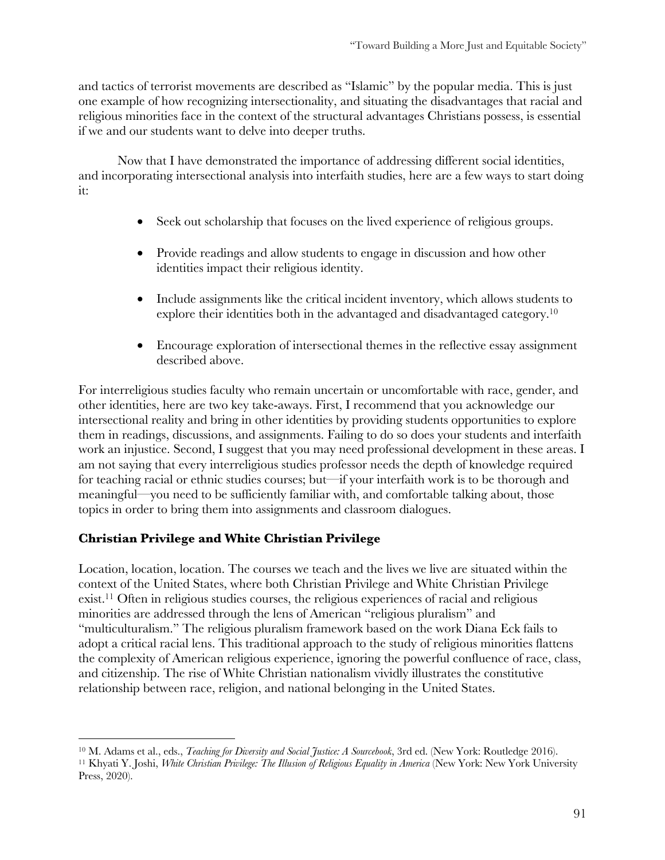and tactics of terrorist movements are described as "Islamic" by the popular media. This is just one example of how recognizing intersectionality, and situating the disadvantages that racial and religious minorities face in the context of the structural advantages Christians possess, is essential if we and our students want to delve into deeper truths.

Now that I have demonstrated the importance of addressing different social identities, and incorporating intersectional analysis into interfaith studies, here are a few ways to start doing it:

- Seek out scholarship that focuses on the lived experience of religious groups.
- Provide readings and allow students to engage in discussion and how other identities impact their religious identity.
- Include assignments like the critical incident inventory, which allows students to explore their identities both in the advantaged and disadvantaged category.10
- Encourage exploration of intersectional themes in the reflective essay assignment described above.

For interreligious studies faculty who remain uncertain or uncomfortable with race, gender, and other identities, here are two key take-aways. First, I recommend that you acknowledge our intersectional reality and bring in other identities by providing students opportunities to explore them in readings, discussions, and assignments. Failing to do so does your students and interfaith work an injustice. Second, I suggest that you may need professional development in these areas. I am not saying that every interreligious studies professor needs the depth of knowledge required for teaching racial or ethnic studies courses; but—if your interfaith work is to be thorough and meaningful—you need to be sufficiently familiar with, and comfortable talking about, those topics in order to bring them into assignments and classroom dialogues.

# **Christian Privilege and White Christian Privilege**

Location, location, location. The courses we teach and the lives we live are situated within the context of the United States, where both Christian Privilege and White Christian Privilege exist.11 Often in religious studies courses, the religious experiences of racial and religious minorities are addressed through the lens of American "religious pluralism" and "multiculturalism." The religious pluralism framework based on the work Diana Eck fails to adopt a critical racial lens. This traditional approach to the study of religious minorities flattens the complexity of American religious experience, ignoring the powerful confluence of race, class, and citizenship. The rise of White Christian nationalism vividly illustrates the constitutive relationship between race, religion, and national belonging in the United States.

<sup>10</sup> M. Adams et al., eds., *Teaching for Diversity and Social Justice: A Sourcebook*, 3rd ed. (New York: Routledge 2016).

<sup>11</sup> Khyati Y. Joshi, *White Christian Privilege: The Illusion of Religious Equality in America* (New York: New York University Press, 2020).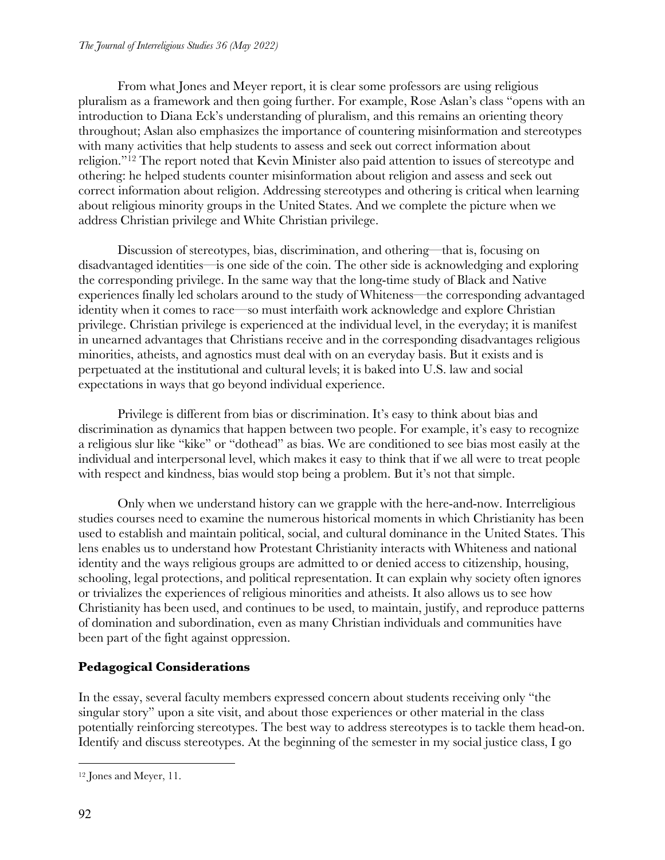From what Jones and Meyer report, it is clear some professors are using religious pluralism as a framework and then going further. For example, Rose Aslan's class "opens with an introduction to Diana Eck's understanding of pluralism, and this remains an orienting theory throughout; Aslan also emphasizes the importance of countering misinformation and stereotypes with many activities that help students to assess and seek out correct information about religion."12 The report noted that Kevin Minister also paid attention to issues of stereotype and othering: he helped students counter misinformation about religion and assess and seek out correct information about religion. Addressing stereotypes and othering is critical when learning about religious minority groups in the United States. And we complete the picture when we address Christian privilege and White Christian privilege.

Discussion of stereotypes, bias, discrimination, and othering—that is, focusing on disadvantaged identities—is one side of the coin. The other side is acknowledging and exploring the corresponding privilege. In the same way that the long-time study of Black and Native experiences finally led scholars around to the study of Whiteness—the corresponding advantaged identity when it comes to race—so must interfaith work acknowledge and explore Christian privilege. Christian privilege is experienced at the individual level, in the everyday; it is manifest in unearned advantages that Christians receive and in the corresponding disadvantages religious minorities, atheists, and agnostics must deal with on an everyday basis. But it exists and is perpetuated at the institutional and cultural levels; it is baked into U.S. law and social expectations in ways that go beyond individual experience.

Privilege is different from bias or discrimination. It's easy to think about bias and discrimination as dynamics that happen between two people. For example, it's easy to recognize a religious slur like "kike" or "dothead" as bias. We are conditioned to see bias most easily at the individual and interpersonal level, which makes it easy to think that if we all were to treat people with respect and kindness, bias would stop being a problem. But it's not that simple.

Only when we understand history can we grapple with the here-and-now. Interreligious studies courses need to examine the numerous historical moments in which Christianity has been used to establish and maintain political, social, and cultural dominance in the United States. This lens enables us to understand how Protestant Christianity interacts with Whiteness and national identity and the ways religious groups are admitted to or denied access to citizenship, housing, schooling, legal protections, and political representation. It can explain why society often ignores or trivializes the experiences of religious minorities and atheists. It also allows us to see how Christianity has been used, and continues to be used, to maintain, justify, and reproduce patterns of domination and subordination, even as many Christian individuals and communities have been part of the fight against oppression.

# **Pedagogical Considerations**

In the essay, several faculty members expressed concern about students receiving only "the singular story" upon a site visit, and about those experiences or other material in the class potentially reinforcing stereotypes. The best way to address stereotypes is to tackle them head-on. Identify and discuss stereotypes. At the beginning of the semester in my social justice class, I go

<sup>12</sup> Jones and Meyer, 11.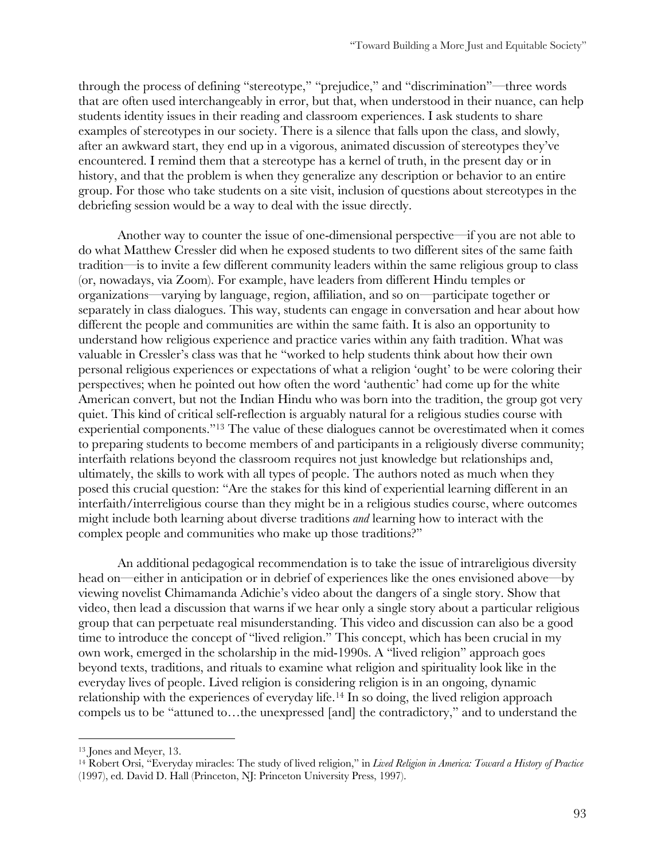through the process of defining "stereotype," "prejudice," and "discrimination"—three words that are often used interchangeably in error, but that, when understood in their nuance, can help students identity issues in their reading and classroom experiences. I ask students to share examples of stereotypes in our society. There is a silence that falls upon the class, and slowly, after an awkward start, they end up in a vigorous, animated discussion of stereotypes they've encountered. I remind them that a stereotype has a kernel of truth, in the present day or in history, and that the problem is when they generalize any description or behavior to an entire group. For those who take students on a site visit, inclusion of questions about stereotypes in the debriefing session would be a way to deal with the issue directly.

Another way to counter the issue of one-dimensional perspective—if you are not able to do what Matthew Cressler did when he exposed students to two different sites of the same faith tradition—is to invite a few different community leaders within the same religious group to class (or, nowadays, via Zoom). For example, have leaders from different Hindu temples or organizations—varying by language, region, affiliation, and so on—participate together or separately in class dialogues. This way, students can engage in conversation and hear about how different the people and communities are within the same faith. It is also an opportunity to understand how religious experience and practice varies within any faith tradition. What was valuable in Cressler's class was that he "worked to help students think about how their own personal religious experiences or expectations of what a religion 'ought' to be were coloring their perspectives; when he pointed out how often the word 'authentic' had come up for the white American convert, but not the Indian Hindu who was born into the tradition, the group got very quiet. This kind of critical self-reflection is arguably natural for a religious studies course with experiential components."13 The value of these dialogues cannot be overestimated when it comes to preparing students to become members of and participants in a religiously diverse community; interfaith relations beyond the classroom requires not just knowledge but relationships and, ultimately, the skills to work with all types of people. The authors noted as much when they posed this crucial question: "Are the stakes for this kind of experiential learning different in an interfaith/interreligious course than they might be in a religious studies course, where outcomes might include both learning about diverse traditions *and* learning how to interact with the complex people and communities who make up those traditions?"

An additional pedagogical recommendation is to take the issue of intrareligious diversity head on—either in anticipation or in debrief of experiences like the ones envisioned above—by viewing novelist Chimamanda Adichie's video about the dangers of a single story. Show that video, then lead a discussion that warns if we hear only a single story about a particular religious group that can perpetuate real misunderstanding. This video and discussion can also be a good time to introduce the concept of "lived religion." This concept, which has been crucial in my own work, emerged in the scholarship in the mid-1990s. A "lived religion" approach goes beyond texts, traditions, and rituals to examine what religion and spirituality look like in the everyday lives of people. Lived religion is considering religion is in an ongoing, dynamic relationship with the experiences of everyday life.14 In so doing, the lived religion approach compels us to be "attuned to…the unexpressed [and] the contradictory," and to understand the

<sup>13</sup> Jones and Meyer, 13.

<sup>14</sup> Robert Orsi, "Everyday miracles: The study of lived religion," in *Lived Religion in America: Toward a History of Practice* (1997), ed. David D. Hall (Princeton, NJ: Princeton University Press, 1997).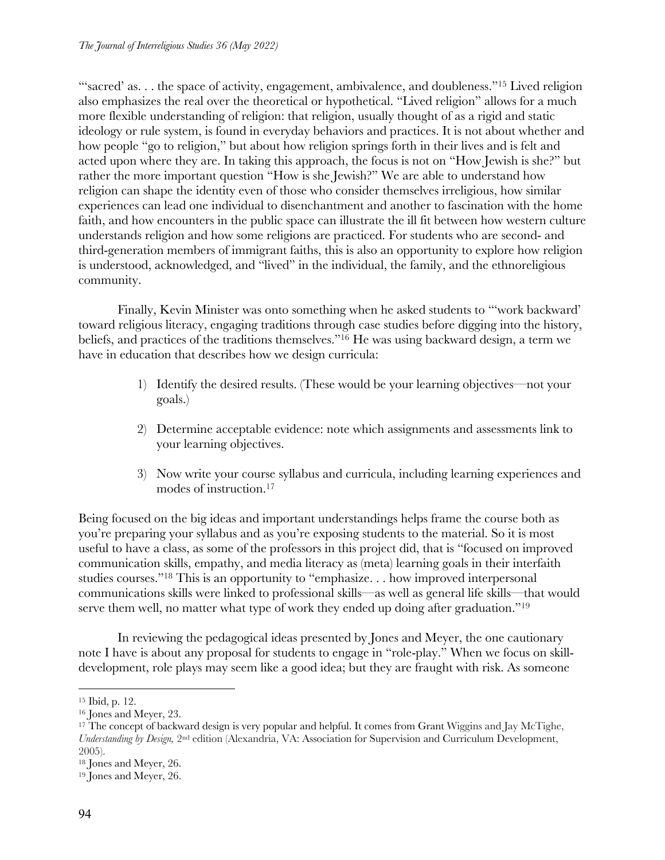"'sacred' as... the space of activity, engagement, ambivalence, and doubleness."<sup>15</sup> Lived religion also emphasizes the real over the theoretical or hypothetical. "Lived religion" allows for a much more flexible understanding of religion: that religion, usually thought of as a rigid and static ideology or rule system, is found in everyday behaviors and practices. It is not about whether and how people "go to religion," but about how religion springs forth in their lives and is felt and acted upon where they are. In taking this approach, the focus is not on "How Jewish is she?" but rather the more important question "How is she Jewish?" We are able to understand how religion can shape the identity even of those who consider themselves irreligious, how similar experiences can lead one individual to disenchantment and another to fascination with the home faith, and how encounters in the public space can illustrate the ill fit between how western culture understands religion and how some religions are practiced. For students who are second- and third-generation members of immigrant faiths, this is also an opportunity to explore how religion is understood, acknowledged, and "lived" in the individual, the family, and the ethnoreligious community.

Finally, Kevin Minister was onto something when he asked students to "'work backward' toward religious literacy, engaging traditions through case studies before digging into the history, beliefs, and practices of the traditions themselves."16 He was using backward design, a term we have in education that describes how we design curricula:

- 1) Identify the desired results. (These would be your learning objectives—not your goals.)
- 2) Determine acceptable evidence: note which assignments and assessments link to your learning objectives.
- 3) Now write your course syllabus and curricula, including learning experiences and modes of instruction.17

Being focused on the big ideas and important understandings helps frame the course both as you're preparing your syllabus and as you're exposing students to the material. So it is most useful to have a class, as some of the professors in this project did, that is "focused on improved communication skills, empathy, and media literacy as (meta) learning goals in their interfaith studies courses."18 This is an opportunity to "emphasize. . . how improved interpersonal communications skills were linked to professional skills—as well as general life skills—that would serve them well, no matter what type of work they ended up doing after graduation."<sup>19</sup>

In reviewing the pedagogical ideas presented by Jones and Meyer, the one cautionary note I have is about any proposal for students to engage in "role-play." When we focus on skilldevelopment, role plays may seem like a good idea; but they are fraught with risk. As someone

<sup>18</sup> Jones and Meyer, 26.

<sup>15</sup> Ibid, p. 12.

<sup>16</sup> Jones and Meyer, 23.

<sup>&</sup>lt;sup>17</sup> The concept of backward design is very popular and helpful. It comes from Grant Wiggins and Jay McTighe, *Understanding by Design,* 2nd edition (Alexandria, VA: Association for Supervision and Curriculum Development, 2005).

<sup>19</sup> Jones and Meyer, 26.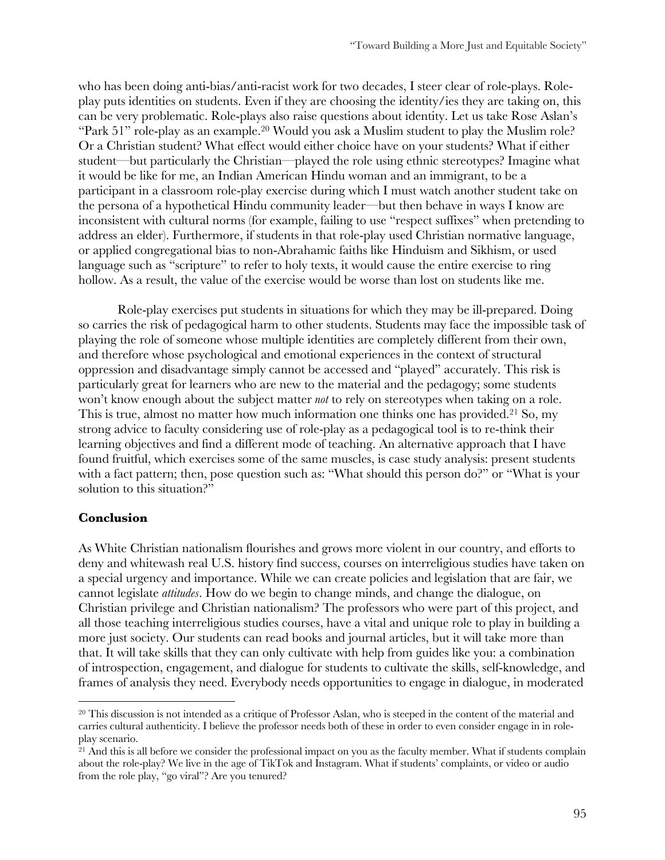who has been doing anti-bias/anti-racist work for two decades, I steer clear of role-plays. Roleplay puts identities on students. Even if they are choosing the identity/ies they are taking on, this can be very problematic. Role-plays also raise questions about identity. Let us take Rose Aslan's "Park 51" role-play as an example.<sup>20</sup> Would you ask a Muslim student to play the Muslim role? Or a Christian student? What effect would either choice have on your students? What if either student—but particularly the Christian—played the role using ethnic stereotypes? Imagine what it would be like for me, an Indian American Hindu woman and an immigrant, to be a participant in a classroom role-play exercise during which I must watch another student take on the persona of a hypothetical Hindu community leader—but then behave in ways I know are inconsistent with cultural norms (for example, failing to use "respect suffixes" when pretending to address an elder). Furthermore, if students in that role-play used Christian normative language, or applied congregational bias to non-Abrahamic faiths like Hinduism and Sikhism, or used language such as "scripture" to refer to holy texts, it would cause the entire exercise to ring hollow. As a result, the value of the exercise would be worse than lost on students like me.

Role-play exercises put students in situations for which they may be ill-prepared. Doing so carries the risk of pedagogical harm to other students. Students may face the impossible task of playing the role of someone whose multiple identities are completely different from their own, and therefore whose psychological and emotional experiences in the context of structural oppression and disadvantage simply cannot be accessed and "played" accurately. This risk is particularly great for learners who are new to the material and the pedagogy; some students won't know enough about the subject matter *not* to rely on stereotypes when taking on a role. This is true, almost no matter how much information one thinks one has provided.<sup>21</sup> So, my strong advice to faculty considering use of role-play as a pedagogical tool is to re-think their learning objectives and find a different mode of teaching. An alternative approach that I have found fruitful, which exercises some of the same muscles, is case study analysis: present students with a fact pattern; then, pose question such as: "What should this person do?" or "What is your solution to this situation?"

#### **Conclusion**

As White Christian nationalism flourishes and grows more violent in our country, and efforts to deny and whitewash real U.S. history find success, courses on interreligious studies have taken on a special urgency and importance. While we can create policies and legislation that are fair, we cannot legislate *attitudes*. How do we begin to change minds, and change the dialogue, on Christian privilege and Christian nationalism? The professors who were part of this project, and all those teaching interreligious studies courses, have a vital and unique role to play in building a more just society. Our students can read books and journal articles, but it will take more than that. It will take skills that they can only cultivate with help from guides like you: a combination of introspection, engagement, and dialogue for students to cultivate the skills, self-knowledge, and frames of analysis they need. Everybody needs opportunities to engage in dialogue, in moderated

<sup>&</sup>lt;sup>20</sup> This discussion is not intended as a critique of Professor Aslan, who is steeped in the content of the material and carries cultural authenticity. I believe the professor needs both of these in order to even consider engage in in roleplay scenario.

<sup>&</sup>lt;sup>21</sup> And this is all before we consider the professional impact on you as the faculty member. What if students complain about the role-play? We live in the age of TikTok and Instagram. What if students' complaints, or video or audio from the role play, "go viral"? Are you tenured?